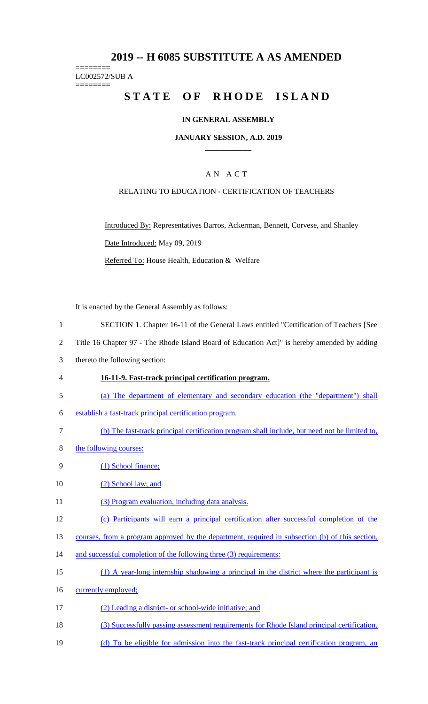# **2019 -- H 6085 SUBSTITUTE A AS AMENDED**

======== LC002572/SUB A ========

# **STATE OF RHODE ISLAND**

### **IN GENERAL ASSEMBLY**

#### **JANUARY SESSION, A.D. 2019 \_\_\_\_\_\_\_\_\_\_\_\_**

### A N A C T

### RELATING TO EDUCATION - CERTIFICATION OF TEACHERS

Introduced By: Representatives Barros, Ackerman, Bennett, Corvese, and Shanley Date Introduced: May 09, 2019 Referred To: House Health, Education & Welfare

It is enacted by the General Assembly as follows:

- 1 SECTION 1. Chapter 16-11 of the General Laws entitled "Certification of Teachers [See
- 2 Title 16 Chapter 97 The Rhode Island Board of Education Act]" is hereby amended by adding
- 3 thereto the following section:
- 4 **16-11-9. Fast-track principal certification program.**
- 5 (a) The department of elementary and secondary education (the "department") shall
- 6 establish a fast-track principal certification program.
- 7 (b) The fast-track principal certification program shall include, but need not be limited to,
- 8 the following courses:
- 9 (1) School finance;
- 10 (2) School law; and
- 11 (3) Program evaluation, including data analysis.
- 12 (c) Participants will earn a principal certification after successful completion of the
- 13 courses, from a program approved by the department, required in subsection (b) of this section,
- 14 and successful completion of the following three (3) requirements:
- 15 (1) A year-long internship shadowing a principal in the district where the participant is
- 16 currently employed;
- 17 (2) Leading a district- or school-wide initiative; and
- 18 (3) Successfully passing assessment requirements for Rhode Island principal certification.
- 19 (d) To be eligible for admission into the fast-track principal certification program, an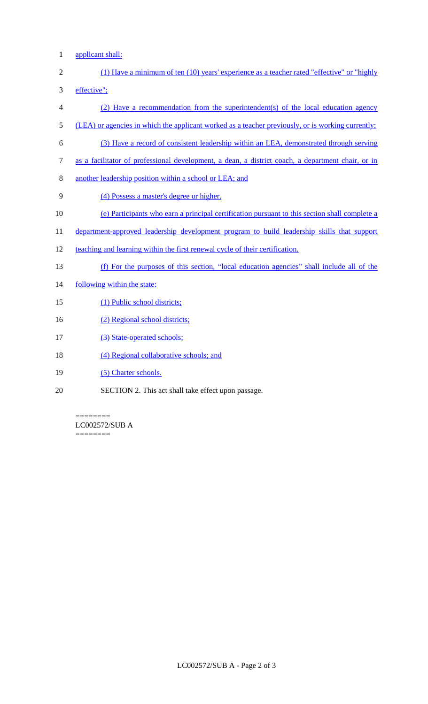1 applicant shall:

- 2 (1) Have a minimum of ten (10) years' experience as a teacher rated "effective" or "highly 3 effective";
- 4 (2) Have a recommendation from the superintendent(s) of the local education agency
- 5 (LEA) or agencies in which the applicant worked as a teacher previously, or is working currently;
- 6 (3) Have a record of consistent leadership within an LEA, demonstrated through serving
- 7 as a facilitator of professional development, a dean, a district coach, a department chair, or in
- 8 another leadership position within a school or LEA; and
- 9 (4) Possess a master's degree or higher.
- 10 (e) Participants who earn a principal certification pursuant to this section shall complete a
- 11 department-approved leadership development program to build leadership skills that support
- 12 teaching and learning within the first renewal cycle of their certification.
- 13 (f) For the purposes of this section, "local education agencies" shall include all of the
- 14 following within the state:
- 15 (1) Public school districts;
- 16 (2) Regional school districts;
- 17 (3) State-operated schools;
- 18 (4) Regional collaborative schools; and
- 19 (5) Charter schools.
- 20 SECTION 2. This act shall take effect upon passage.

======== LC002572/SUB A ========